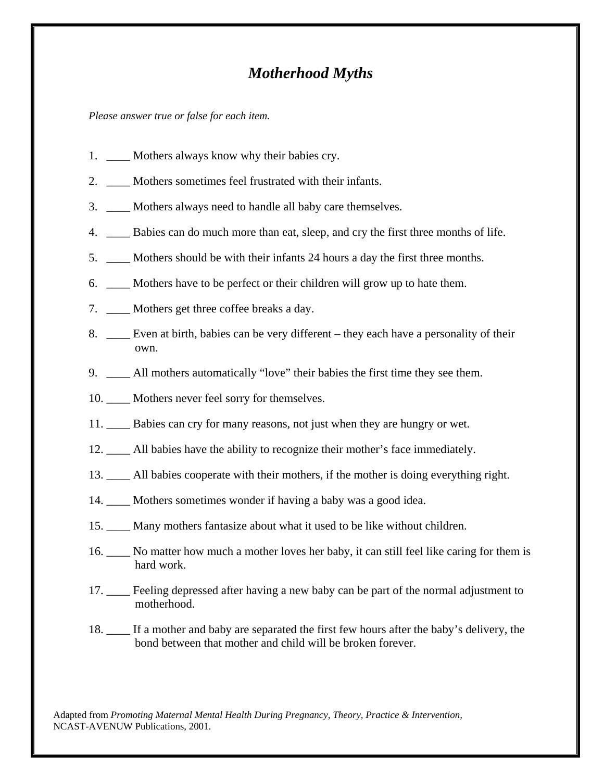## *Motherhood Myths*

*Please answer true or false for each item.* 

- 1. \_\_\_\_\_ Mothers always know why their babies cry.
- 2. \_\_\_\_ Mothers sometimes feel frustrated with their infants.
- 3. Mothers always need to handle all baby care themselves.
- 4. \_\_\_\_ Babies can do much more than eat, sleep, and cry the first three months of life.
- 5. \_\_\_\_ Mothers should be with their infants 24 hours a day the first three months.
- 6. \_\_\_\_ Mothers have to be perfect or their children will grow up to hate them.
- 7. \_\_\_\_ Mothers get three coffee breaks a day.
- 8. \_\_\_\_ Even at birth, babies can be very different they each have a personality of their own.
- 9. \_\_\_\_ All mothers automatically "love" their babies the first time they see them.
- 10. \_\_\_\_\_ Mothers never feel sorry for themselves.
- 11. Babies can cry for many reasons, not just when they are hungry or wet.
- 12. \_\_\_\_ All babies have the ability to recognize their mother's face immediately.
- 13. \_\_\_\_ All babies cooperate with their mothers, if the mother is doing everything right.
- 14. \_\_\_\_ Mothers sometimes wonder if having a baby was a good idea.
- 15. \_\_\_\_ Many mothers fantasize about what it used to be like without children.
- 16. \_\_\_\_ No matter how much a mother loves her baby, it can still feel like caring for them is hard work.
- 17. \_\_\_\_ Feeling depressed after having a new baby can be part of the normal adjustment to motherhood.
- 18. \_\_\_\_ If a mother and baby are separated the first few hours after the baby's delivery, the bond between that mother and child will be broken forever.

Adapted from *Promoting Maternal Mental Health During Pregnancy, Theory, Practice & Intervention,* NCAST-AVENUW Publications, 2001.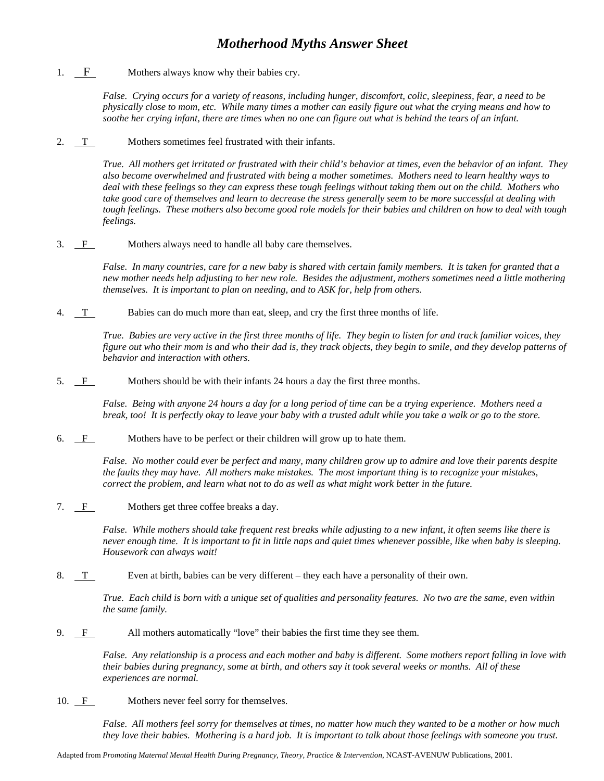## *Motherhood Myths Answer Sheet*

1. F Mothers always know why their babies cry.

*False. Crying occurs for a variety of reasons, including hunger, discomfort, colic, sleepiness, fear, a need to be physically close to mom, etc. While many times a mother can easily figure out what the crying means and how to soothe her crying infant, there are times when no one can figure out what is behind the tears of an infant.*

2. T Mothers sometimes feel frustrated with their infants.

*True. All mothers get irritated or frustrated with their child's behavior at times, even the behavior of an infant. They also become overwhelmed and frustrated with being a mother sometimes. Mothers need to learn healthy ways to deal with these feelings so they can express these tough feelings without taking them out on the child. Mothers who take good care of themselves and learn to decrease the stress generally seem to be more successful at dealing with tough feelings. These mothers also become good role models for their babies and children on how to deal with tough feelings.*

3. <u>F</u> Mothers always need to handle all baby care themselves.

*False. In many countries, care for a new baby is shared with certain family members. It is taken for granted that a new mother needs help adjusting to her new role. Besides the adjustment, mothers sometimes need a little mothering themselves. It is important to plan on needing, and to ASK for, help from others.*

4. T Babies can do much more than eat, sleep, and cry the first three months of life.

*True. Babies are very active in the first three months of life. They begin to listen for and track familiar voices, they figure out who their mom is and who their dad is, they track objects, they begin to smile, and they develop patterns of behavior and interaction with others.*

5. F Mothers should be with their infants 24 hours a day the first three months.

*False. Being with anyone 24 hours a day for a long period of time can be a trying experience. Mothers need a break, too! It is perfectly okay to leave your baby with a trusted adult while you take a walk or go to the store.*

6.  $\overline{F}$  Mothers have to be perfect or their children will grow up to hate them.

*False. No mother could ever be perfect and many, many children grow up to admire and love their parents despite the faults they may have. All mothers make mistakes. The most important thing is to recognize your mistakes, correct the problem, and learn what not to do as well as what might work better in the future.*

7. F Mothers get three coffee breaks a day.

*False. While mothers should take frequent rest breaks while adjusting to a new infant, it often seems like there is never enough time. It is important to fit in little naps and quiet times whenever possible, like when baby is sleeping. Housework can always wait!*

8.  $T$  Even at birth, babies can be very different – they each have a personality of their own.

*True. Each child is born with a unique set of qualities and personality features. No two are the same, even within the same family.*

9. F All mothers automatically "love" their babies the first time they see them.

*False. Any relationship is a process and each mother and baby is different. Some mothers report falling in love with their babies during pregnancy, some at birth, and others say it took several weeks or months. All of these experiences are normal.*

10. F Mothers never feel sorry for themselves.

*False. All mothers feel sorry for themselves at times, no matter how much they wanted to be a mother or how much they love their babies. Mothering is a hard job. It is important to talk about those feelings with someone you trust.*